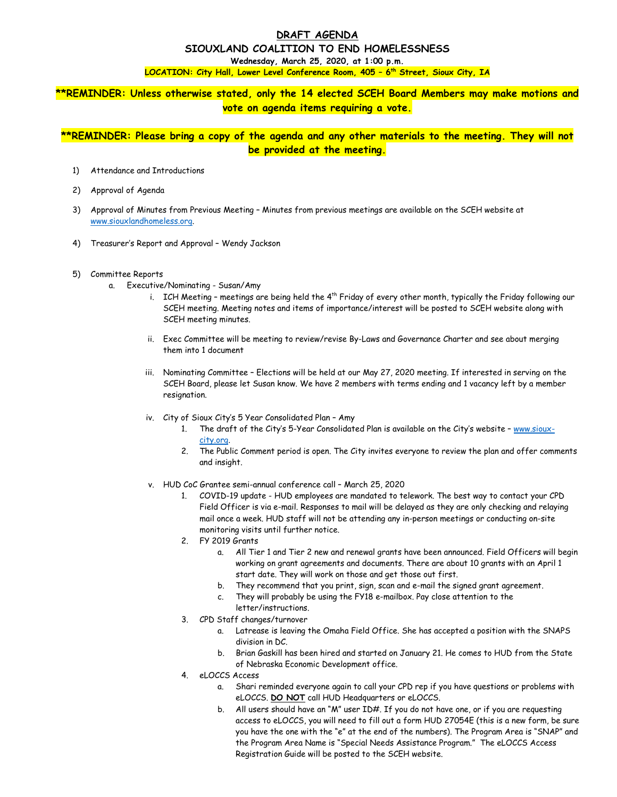## **DRAFT AGENDA**

## **SIOUXLAND COALITION TO END HOMELESSNESS**

**Wednesday, March 25, 2020, at 1:00 p.m.**

**LOCATION: City Hall, Lower Level Conference Room, 405 – 6th Street, Sioux City, IA**

## **\*\*REMINDER: Unless otherwise stated, only the 14 elected SCEH Board Members may make motions and vote on agenda items requiring a vote.**

**\*\*REMINDER: Please bring a copy of the agenda and any other materials to the meeting. They will not be provided at the meeting.**

- 1) Attendance and Introductions
- 2) Approval of Agenda
- 3) Approval of Minutes from Previous Meeting Minutes from previous meetings are available on the SCEH website at [www.siouxlandhomeless.org.](http://www.siouxlandhomeless.org/)
- 4) Treasurer's Report and Approval Wendy Jackson
- 5) Committee Reports
	- a. Executive/Nominating Susan/Amy
		- i. ICH Meeting meetings are being held the 4th Friday of every other month, typically the Friday following our SCEH meeting. Meeting notes and items of importance/interest will be posted to SCEH website along with SCEH meeting minutes.
		- ii. Exec Committee will be meeting to review/revise By-Laws and Governance Charter and see about merging them into 1 document
		- iii. Nominating Committee Elections will be held at our May 27, 2020 meeting. If interested in serving on the SCEH Board, please let Susan know. We have 2 members with terms ending and 1 vacancy left by a member resignation.
		- iv. City of Sioux City's 5 Year Consolidated Plan Amy
			- 1. The draft of the City's 5-Year Consolidated Plan is available on the City's website [www.sioux](http://www.sioux-city.org/)[city.org.](http://www.sioux-city.org/)
			- 2. The Public Comment period is open. The City invites everyone to review the plan and offer comments and insight.
		- v. HUD CoC Grantee semi-annual conference call March 25, 2020
			- 1. COVID-19 update HUD employees are mandated to telework. The best way to contact your CPD Field Officer is via e-mail. Responses to mail will be delayed as they are only checking and relaying mail once a week. HUD staff will not be attending any in-person meetings or conducting on-site monitoring visits until further notice.
			- 2. FY 2019 Grants
				- a. All Tier 1 and Tier 2 new and renewal grants have been announced. Field Officers will begin working on grant agreements and documents. There are about 10 grants with an April 1 start date. They will work on those and get those out first.
				- b. They recommend that you print, sign, scan and e-mail the signed grant agreement.
				- c. They will probably be using the FY18 e-mailbox. Pay close attention to the letter/instructions.
			- 3. CPD Staff changes/turnover
				- a. Latrease is leaving the Omaha Field Office. She has accepted a position with the SNAPS division in DC.
				- b. Brian Gaskill has been hired and started on January 21. He comes to HUD from the State of Nebraska Economic Development office.
			- 4. eLOCCS Access
				- a. Shari reminded everyone again to call your CPD rep if you have questions or problems with eLOCCS. **DO NOT** call HUD Headquarters or eLOCCS.
				- b. All users should have an "M" user ID#. If you do not have one, or if you are requesting access to eLOCCS, you will need to fill out a form HUD 27054E (this is a new form, be sure you have the one with the "e" at the end of the numbers). The Program Area is "SNAP" and the Program Area Name is "Special Needs Assistance Program." The eLOCCS Access Registration Guide will be posted to the SCEH website.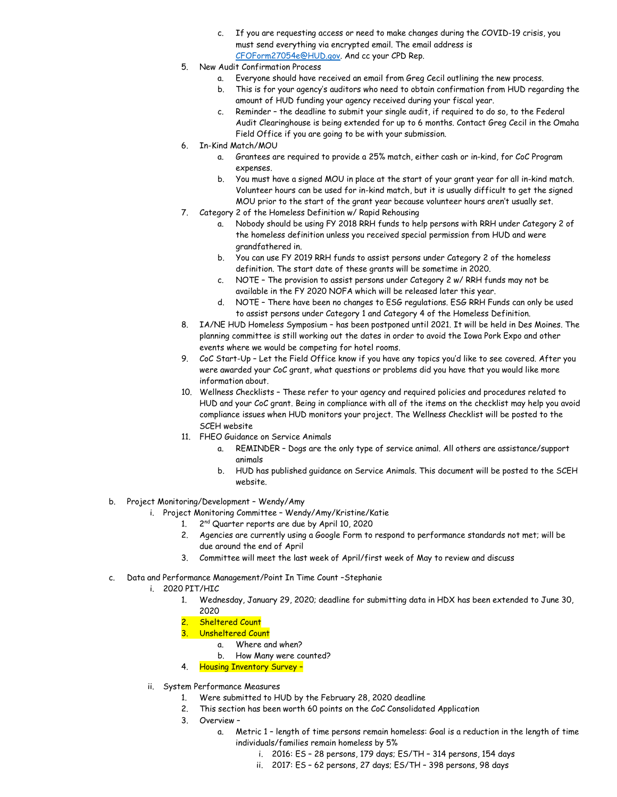- c. If you are requesting access or need to make changes during the COVID-19 crisis, you must send everything via encrypted email. The email address is [CFOForm27054e@HUD.gov.](mailto:CFOForm27054e@HUD.gov) And cc your CPD Rep.
- 5. New Audit Confirmation Process
	- a. Everyone should have received an email from Greg Cecil outlining the new process.
	- b. This is for your agency's auditors who need to obtain confirmation from HUD regarding the amount of HUD funding your agency received during your fiscal year.
	- c. Reminder the deadline to submit your single audit, if required to do so, to the Federal Audit Clearinghouse is being extended for up to 6 months. Contact Greg Cecil in the Omaha Field Office if you are going to be with your submission.
- 6. In-Kind Match/MOU
	- a. Grantees are required to provide a 25% match, either cash or in-kind, for CoC Program expenses.
	- b. You must have a signed MOU in place at the start of your grant year for all in-kind match. Volunteer hours can be used for in-kind match, but it is usually difficult to get the signed MOU prior to the start of the grant year because volunteer hours aren't usually set.
- 7. Category 2 of the Homeless Definition w/ Rapid Rehousing
	- a. Nobody should be using FY 2018 RRH funds to help persons with RRH under Category 2 of the homeless definition unless you received special permission from HUD and were grandfathered in.
	- b. You can use FY 2019 RRH funds to assist persons under Category 2 of the homeless definition. The start date of these grants will be sometime in 2020.
	- c. NOTE The provision to assist persons under Category 2 w/ RRH funds may not be available in the FY 2020 NOFA which will be released later this year.
	- d. NOTE There have been no changes to ESG regulations. ESG RRH Funds can only be used to assist persons under Category 1 and Category 4 of the Homeless Definition.
- 8. IA/NE HUD Homeless Symposium has been postponed until 2021. It will be held in Des Moines. The planning committee is still working out the dates in order to avoid the Iowa Pork Expo and other events where we would be competing for hotel rooms.
- 9. CoC Start-Up Let the Field Office know if you have any topics you'd like to see covered. After you were awarded your CoC grant, what questions or problems did you have that you would like more information about.
- 10. Wellness Checklists These refer to your agency and required policies and procedures related to HUD and your CoC grant. Being in compliance with all of the items on the checklist may help you avoid compliance issues when HUD monitors your project. The Wellness Checklist will be posted to the SCEH website
- 11. FHEO Guidance on Service Animals
	- a. REMINDER Dogs are the only type of service animal. All others are assistance/support animals
	- b. HUD has published guidance on Service Animals. This document will be posted to the SCEH website.
- b. Project Monitoring/Development Wendy/Amy
	- i. Project Monitoring Committee Wendy/Amy/Kristine/Katie
		- 1. 2<sup>nd</sup> Quarter reports are due by April 10, 2020
			- 2. Agencies are currently using a Google Form to respond to performance standards not met; will be due around the end of April
		- 3. Committee will meet the last week of April/first week of May to review and discuss
- c. Data and Performance Management/Point In Time Count –Stephanie
	- i. 2020 PIT/HIC
		- 1. Wednesday, January 29, 2020; deadline for submitting data in HDX has been extended to June 30, 2020
		- 2. Sheltered Count
		- 3. Unsheltered Count
			- a. Where and when?
				- b. How Many were counted?
		- 4. Housing Inventory Survey -
	- ii. System Performance Measures
		- 1. Were submitted to HUD by the February 28, 2020 deadline
		- 2. This section has been worth 60 points on the CoC Consolidated Application
		- 3. Overview
			- a. Metric 1 length of time persons remain homeless: Goal is a reduction in the length of time individuals/families remain homeless by 5%
				- i. 2016: ES 28 persons, 179 days; ES/TH 314 persons, 154 days
				- ii. 2017: ES 62 persons, 27 days; ES/TH 398 persons, 98 days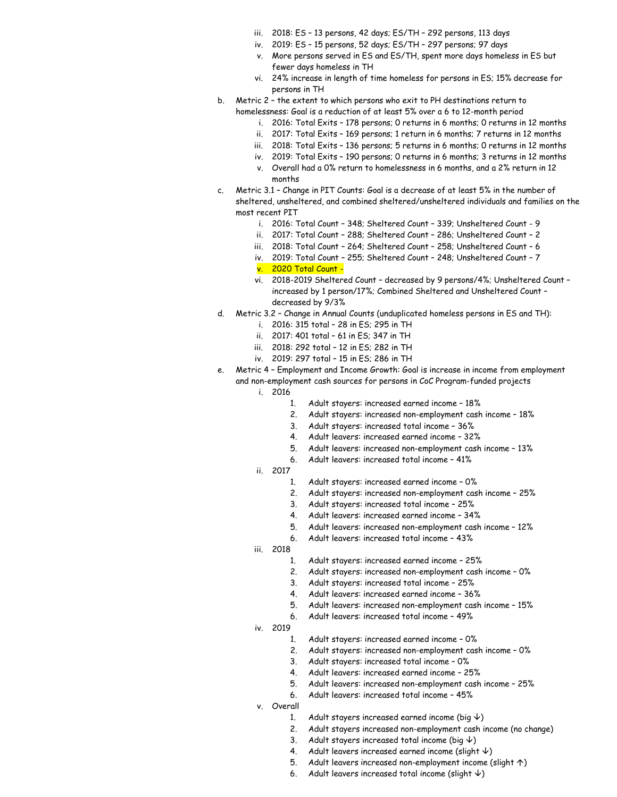- iii. 2018: ES 13 persons, 42 days; ES/TH 292 persons, 113 days
- iv. 2019: ES 15 persons, 52 days; ES/TH 297 persons; 97 days
- v. More persons served in ES and ES/TH, spent more days homeless in ES but fewer days homeless in TH
- vi. 24% increase in length of time homeless for persons in ES; 15% decrease for persons in TH
- b. Metric 2 the extent to which persons who exit to PH destinations return to homelessness: Goal is a reduction of at least 5% over a 6 to 12-month period
	- i. 2016: Total Exits 178 persons; 0 returns in 6 months; 0 returns in 12 months
	- ii. 2017: Total Exits 169 persons; 1 return in 6 months; 7 returns in 12 months
	- iii. 2018: Total Exits 136 persons; 5 returns in 6 months; 0 returns in 12 months
	- iv. 2019: Total Exits 190 persons; 0 returns in 6 months; 3 returns in 12 months
	- v. Overall had a 0% return to homelessness in 6 months, and a 2% return in 12 months
- c. Metric 3.1 Change in PIT Counts: Goal is a decrease of at least 5% in the number of sheltered, unsheltered, and combined sheltered/unsheltered individuals and families on the most recent PIT
	- i. 2016: Total Count 348; Sheltered Count 339; Unsheltered Count 9
	- ii. 2017: Total Count 288; Sheltered Count 286; Unsheltered Count 2
	- iii. 2018: Total Count 264; Sheltered Count 258; Unsheltered Count 6
	- iv. 2019: Total Count 255; Sheltered Count 248; Unsheltered Count 7
	- v. 2020 Total Count -
	- vi. 2018-2019 Sheltered Count decreased by 9 persons/4%; Unsheltered Count increased by 1 person/17%; Combined Sheltered and Unsheltered Count – decreased by 9/3%
- d. Metric 3.2 Change in Annual Counts (unduplicated homeless persons in ES and TH):
	- i. 2016: 315 total 28 in ES; 295 in TH
		- ii. 2017: 401 total 61 in ES; 347 in TH
		- iii. 2018: 292 total 12 in ES; 282 in TH
		- iv. 2019: 297 total 15 in ES; 286 in TH
- e. Metric 4 Employment and Income Growth: Goal is increase in income from employment and non-employment cash sources for persons in CoC Program-funded projects
	- i. 2016
		- 1. Adult stayers: increased earned income 18%
		- 2. Adult stayers: increased non-employment cash income 18%
		- 3. Adult stayers: increased total income 36%
		- 4. Adult leavers: increased earned income 32%
		- 5. Adult leavers: increased non-employment cash income 13%
		- 6. Adult leavers: increased total income 41%
	- ii. 2017
		- 1. Adult stayers: increased earned income 0%
		- 2. Adult stayers: increased non-employment cash income 25%
		- 3. Adult stayers: increased total income 25%
		- 4. Adult leavers: increased earned income 34%
		- 5. Adult leavers: increased non-employment cash income 12%
		- 6. Adult leavers: increased total income 43%
	- iii. 2018
		- 1. Adult stayers: increased earned income 25%
		- 2. Adult stayers: increased non-employment cash income 0%
		- 3. Adult stayers: increased total income 25%
		- 4. Adult leavers: increased earned income 36%
		- 5. Adult leavers: increased non-employment cash income 15%
		- 6. Adult leavers: increased total income 49%

iv. 2019

- 1. Adult stayers: increased earned income 0%
- 2. Adult stayers: increased non-employment cash income 0%
- 3. Adult stayers: increased total income 0%
- 4. Adult leavers: increased earned income 25%
- 5. Adult leavers: increased non-employment cash income 25%
- 6. Adult leavers: increased total income 45%
- v. Overall
	- 1. Adult stayers increased earned income (big  $\psi$ )
	- 2. Adult stayers increased non-employment cash income (no change)
	- 3. Adult stayers increased total income (big  $\psi$ )
	- 4. Adult leavers increased earned income (slight  $\psi$ )
	- 5. Adult leavers increased non-employment income (slight  $\uparrow$ )
	- 6. Adult leavers increased total income (slight  $\downarrow$ )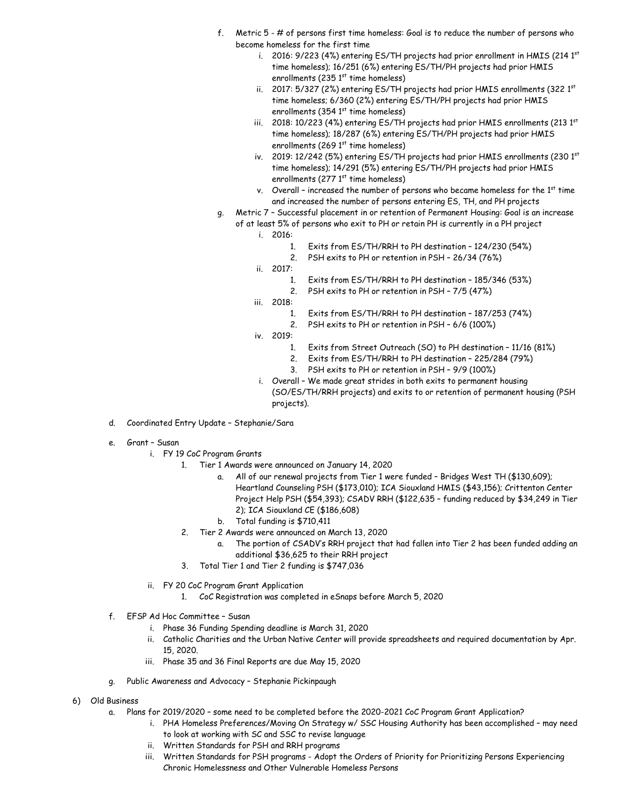- f. Metric 5 # of persons first time homeless: Goal is to reduce the number of persons who become homeless for the first time
	- i. 2016: 9/223 (4%) entering ES/TH projects had prior enrollment in HMIS (214 1st time homeless); 16/251 (6%) entering ES/TH/PH projects had prior HMIS enrollments (235 $1<sup>st</sup>$  time homeless)
	- ii. 2017: 5/327 (2%) entering ES/TH projects had prior HMIS enrollments (322 1st time homeless; 6/360 (2%) entering ES/TH/PH projects had prior HMIS enrollments (354  $1<sup>st</sup>$  time homeless)
	- iii. 2018: 10/223 (4%) entering ES/TH projects had prior HMIS enrollments (213 1st time homeless); 18/287 (6%) entering ES/TH/PH projects had prior HMIS enrollments (269 $1<sup>st</sup>$  time homeless)
	- iv. 2019: 12/242 (5%) entering ES/TH projects had prior HMIS enrollments (230  $1<sup>st</sup>$ time homeless); 14/291 (5%) entering ES/TH/PH projects had prior HMIS enrollments (277 1<sup>st</sup> time homeless)
	- v. Overall increased the number of persons who became homeless for the  $1<sup>st</sup>$  time and increased the number of persons entering ES, TH, and PH projects
- g. Metric 7 Successful placement in or retention of Permanent Housing: Goal is an increase of at least 5% of persons who exit to PH or retain PH is currently in a PH project
	- i. 2016:
		- 1. Exits from ES/TH/RRH to PH destination 124/230 (54%)
		- 2. PSH exits to PH or retention in PSH 26/34 (76%)
	- ii. 2017:
		- 1. Exits from ES/TH/RRH to PH destination 185/346 (53%)
		- 2. PSH exits to PH or retention in PSH 7/5 (47%)
	- iii. 2018:
		- 1. Exits from ES/TH/RRH to PH destination 187/253 (74%)
		- 2. PSH exits to PH or retention in PSH 6/6 (100%)
	- iv. 2019:
		- 1. Exits from Street Outreach (SO) to PH destination 11/16 (81%)
		- 2. Exits from ES/TH/RRH to PH destination 225/284 (79%)
		- 3. PSH exits to PH or retention in PSH 9/9 (100%)
	- i. Overall We made great strides in both exits to permanent housing (SO/ES/TH/RRH projects) and exits to or retention of permanent housing (PSH projects).
- d. Coordinated Entry Update Stephanie/Sara
- e. Grant Susan
	- i. FY 19 CoC Program Grants
		- 1. Tier 1 Awards were announced on January 14, 2020
			- a. All of our renewal projects from Tier 1 were funded Bridges West TH (\$130,609); Heartland Counseling PSH (\$173,010); ICA Siouxland HMIS (\$43,156); Crittenton Center Project Help PSH (\$54,393); CSADV RRH (\$122,635 – funding reduced by \$34,249 in Tier 2); ICA Siouxland CE (\$186,608)
			- b. Total funding is \$710,411
		- 2. Tier 2 Awards were announced on March 13, 2020
			- a. The portion of CSADV's RRH project that had fallen into Tier 2 has been funded adding an additional \$36,625 to their RRH project
		- 3. Total Tier 1 and Tier 2 funding is \$747,036
	- ii. FY 20 CoC Program Grant Application
		- 1. CoC Registration was completed in eSnaps before March 5, 2020
- f. EFSP Ad Hoc Committee Susan
	- i. Phase 36 Funding Spending deadline is March 31, 2020
	- ii. Catholic Charities and the Urban Native Center will provide spreadsheets and required documentation by Apr. 15, 2020.
	- iii. Phase 35 and 36 Final Reports are due May 15, 2020
- g. Public Awareness and Advocacy Stephanie Pickinpaugh
- 6) Old Business
	- a. Plans for 2019/2020 some need to be completed before the 2020-2021 CoC Program Grant Application?
		- i. PHA Homeless Preferences/Moving On Strategy w/ SSC Housing Authority has been accomplished may need to look at working with SC and SSC to revise language
		- ii. Written Standards for PSH and RRH programs
		- iii. Written Standards for PSH programs Adopt the Orders of Priority for Prioritizing Persons Experiencing Chronic Homelessness and Other Vulnerable Homeless Persons